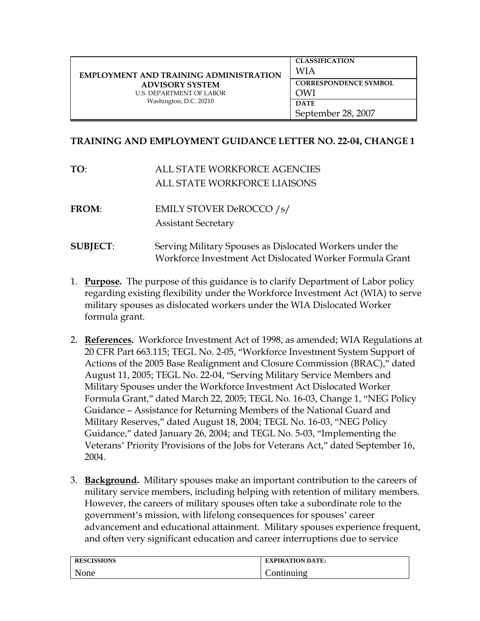| <b>EMPLOYMENT AND TRAINING ADMINISTRATION</b><br><b>ADVISORY SYSTEM</b><br><b>U.S. DEPARTMENT OF LABOR</b><br>Washington, D.C. 20210 | <b>CLASSIFICATION</b><br>WIA        |
|--------------------------------------------------------------------------------------------------------------------------------------|-------------------------------------|
|                                                                                                                                      | <b>CORRESPONDENCE SYMBOL</b><br>OWI |
|                                                                                                                                      | <b>DATE</b><br>September 28, 2007   |

## **TRAINING AND EMPLOYMENT GUIDANCE LETTER NO. 22-04, CHANGE 1**

**TO**: ALL STATE WORKFORCE AGENCIES ALL STATE WORKFORCE LIAISONS

**FROM**: EMILY STOVER DeROCCO /s/ Assistant Secretary

- **SUBJECT:** Serving Military Spouses as Dislocated Workers under the Workforce Investment Act Dislocated Worker Formula Grant
- 1. **Purpose.** The purpose of this guidance is to clarify Department of Labor policy regarding existing flexibility under the Workforce Investment Act (WIA) to serve military spouses as dislocated workers under the WIA Dislocated Worker formula grant.
- 2. **References.** Workforce Investment Act of 1998, as amended; WIA Regulations at 20 CFR Part 663.115; TEGL No. 2-05, "Workforce Investment System Support of Actions of the 2005 Base Realignment and Closure Commission (BRAC)," dated August 11, 2005; TEGL No. 22-04, "Serving Military Service Members and Military Spouses under the Workforce Investment Act Dislocated Worker Formula Grant," dated March 22, 2005; TEGL No. 16-03, Change 1, "NEG Policy Guidance – Assistance for Returning Members of the National Guard and Military Reserves," dated August 18, 2004; TEGL No. 16-03, "NEG Policy Guidance," dated January 26, 2004; and TEGL No. 5-03, "Implementing the Veterans' Priority Provisions of the Jobs for Veterans Act," dated September 16, 2004.
- 3. **Background.** Military spouses make an important contribution to the careers of military service members, including helping with retention of military members. However, the careers of military spouses often take a subordinate role to the government's mission, with lifelong consequences for spouses' career advancement and educational attainment. Military spouses experience frequent, and often very significant education and career interruptions due to service

| <b>RESCISSIONS</b> | <b>EXPIRATION DATE:</b> |
|--------------------|-------------------------|
| None               | .`ontınuıng             |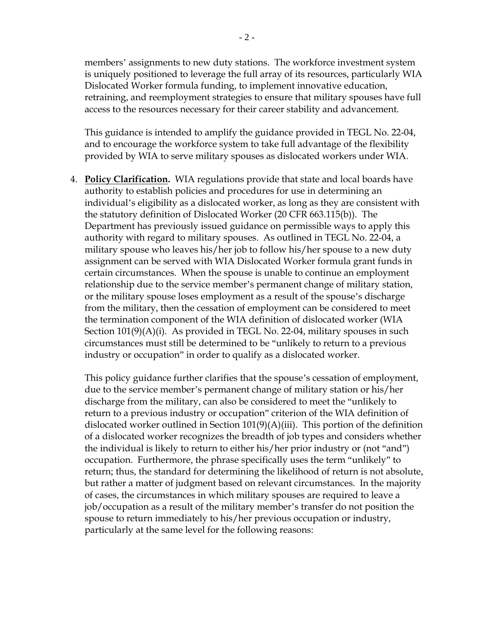members' assignments to new duty stations. The workforce investment system is uniquely positioned to leverage the full array of its resources, particularly WIA Dislocated Worker formula funding, to implement innovative education, retraining, and reemployment strategies to ensure that military spouses have full access to the resources necessary for their career stability and advancement.

This guidance is intended to amplify the guidance provided in TEGL No. 22-04, and to encourage the workforce system to take full advantage of the flexibility provided by WIA to serve military spouses as dislocated workers under WIA.

4. **Policy Clarification.** WIA regulations provide that state and local boards have authority to establish policies and procedures for use in determining an individual's eligibility as a dislocated worker, as long as they are consistent with the statutory definition of Dislocated Worker (20 CFR 663.115(b)). The Department has previously issued guidance on permissible ways to apply this authority with regard to military spouses. As outlined in TEGL No. 22-04, a military spouse who leaves his/her job to follow his/her spouse to a new duty assignment can be served with WIA Dislocated Worker formula grant funds in certain circumstances. When the spouse is unable to continue an employment relationship due to the service member's permanent change of military station, or the military spouse loses employment as a result of the spouse's discharge from the military, then the cessation of employment can be considered to meet the termination component of the WIA definition of dislocated worker (WIA Section 101(9)(A)(i). As provided in TEGL No. 22-04, military spouses in such circumstances must still be determined to be "unlikely to return to a previous industry or occupation" in order to qualify as a dislocated worker.

This policy guidance further clarifies that the spouse's cessation of employment, due to the service member's permanent change of military station or his/her discharge from the military, can also be considered to meet the "unlikely to return to a previous industry or occupation" criterion of the WIA definition of dislocated worker outlined in Section  $101(9)(A)(iii)$ . This portion of the definition of a dislocated worker recognizes the breadth of job types and considers whether the individual is likely to return to either his/her prior industry or (not "and") occupation. Furthermore, the phrase specifically uses the term "unlikely" to return; thus, the standard for determining the likelihood of return is not absolute, but rather a matter of judgment based on relevant circumstances. In the majority of cases, the circumstances in which military spouses are required to leave a job/occupation as a result of the military member's transfer do not position the spouse to return immediately to his/her previous occupation or industry, particularly at the same level for the following reasons: